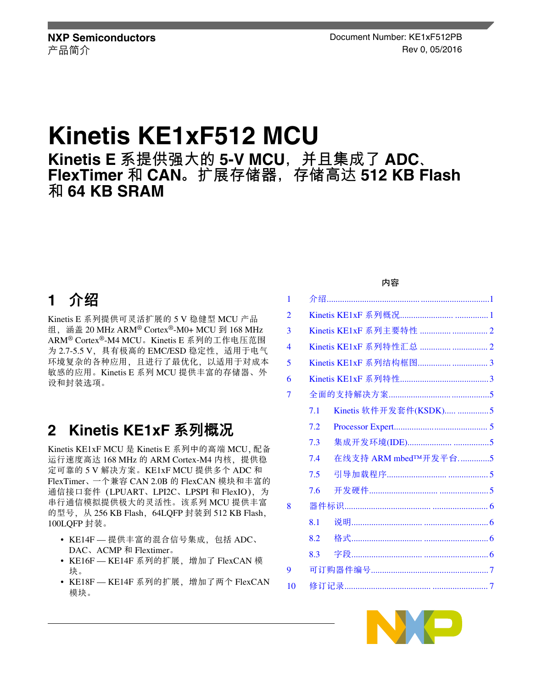# **Kinetis KE1xF512 MCU**

**Kinetis E 系提供强大的 5-V MCU,并且集成了 ADC、 FlexTimer 和 CAN。扩展存储器,存储高达 512 KB Flash 和 64 KB SRAM**

# **1** 介绍

Kinetis E 系列提供可灵活扩展的 5 V 稳健型 MCU 产品 组, 涵盖 20 MHz ARM® Cortex®-M0+ MCU 到 168 MHz ARM® Cortex®-M4 MCU。Kinetis E 系列的工作电压范围 为 2.7-5.5 V, 具有极高的 EMC/ESD 稳定性, 适用于电气 环境复杂的各种应用,且进行了最优化,以适用于对成本 敏感的应用。Kinetis E 系列 MCU 提供丰富的存储器、外 设和封装选项。

### **2 Kinetis KE1xF** 系列概况

Kinetis KE1xF MCU 是 Kinetis E 系列中的高端 MCU, 配备 运行速度高达 168 MHz 的 ARM Cortex-M4 内核, 提供稳 定可靠的 5 V 解决方案。KE1xF MCU 提供多个 ADC 和 FlexTimer、一个兼容 CAN 2.0B 的 FlexCAN 模块和丰富的 通信接口套件 (LPUART、LPI2C、LPSPI 和 FlexIO), 为 串行通信模拟提供极大的灵活性。该系列 MCU 提供丰富 的型号, 从 256 KB Flash, 64LQFP 封装到 512 KB Flash, 100LQFP 封装。

- KE14F 提供丰富的混合信号集成,包括 ADC、 DAC、ACMP 和 Flextimer。
- KE16F KE14F 系列的扩展, 增加了 FlexCAN 模 块。
- KE18F KE14F 系列的扩展, 增加了两个 FlexCAN 模块。

#### 内容

| 1  |     |                            |  |
|----|-----|----------------------------|--|
| 2  |     |                            |  |
| 3  |     | Kinetis KE1xF 系列主要特性   2   |  |
| 4  |     |                            |  |
| 5  |     |                            |  |
| 6  |     |                            |  |
| 7  |     |                            |  |
|    | 7.1 | Kinetis 软件开发套件(KSDK) 5     |  |
|    | 7.2 |                            |  |
|    | 7.3 |                            |  |
|    | 7.4 | 在线支持 ARM mbed™开发平台5        |  |
|    | 7.5 |                            |  |
|    | 7.6 |                            |  |
| 8  |     |                            |  |
|    | 8.1 |                            |  |
|    | 8.2 | 格式……………………………………………………………6 |  |
|    | 8.3 |                            |  |
| 9  |     |                            |  |
| 10 |     |                            |  |
|    |     |                            |  |

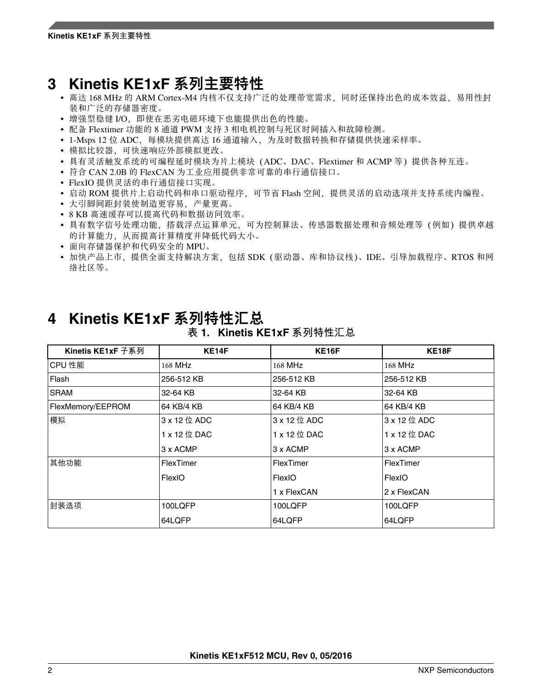### <span id="page-1-0"></span>**3 Kinetis KE1xF** 系列主要特性

- 高达 168 MHz 的 ARM Cortex-M4 内核不仅支持广泛的处理带宽需求,同时还保持出色的成本效益, 易用性封 装和广泛的存储器密度。
- 增强型稳健 I/O,即使在恶劣电磁环境下也能提供出色的性能。
- 配备 Flextimer 功能的 8 通道 PWM 支持 3 相电机控制与死区时间插入和故障检测。
- 1-Msps 12 位 ADC,每模块提供高达 16 通道输入,为及时数据转换和存储提供快速采样率。
- 模拟比较器,可快速响应外部模拟更改。
- 具有灵活触发系统的可编程延时模块为片上模块(ADC、DAC、Flextimer 和 ACMP 等)提供各种互连。
- 符合 CAN 2.0B 的 FlexCAN 为工业应用提供非常可靠的串行通信接口。
- FlexIO 提供灵活的串行通信接口实现。
- 启动 ROM 提供片上启动代码和串口驱动程序, 可节省 Flash 空间, 提供灵活的启动选项并支持系统内编程。
- 大引脚间距封装使制造更容易,产量更高。
- 8 KB 高速缓存可以提高代码和数据访问效率。
- 具有数字信号处理功能,搭载浮点运算单元, 可为控制算法、传感器数据处理和音频处理等 (例如)提供卓越 的计算能力,从而提高计算精度并降低代码大小。
- 面向存储器保护和代码安全的 MPU。
- 加快产品上市,提供全面支持解决方案,包括 SDK(驱动器、库和协议栈)、IDE、引导加载程序、RTOS 和网 络社区等。

### **4 Kinetis KE1xF** 系列特性汇总

**表 1. Kinetis KE1xF 系列特性汇总**

| Kinetis KE1xF 子系列 | KE14F        | KE16F        | KE18F        |
|-------------------|--------------|--------------|--------------|
| CPU 性能            | 168 MHz      | 168 MHz      | 168 MHz      |
| Flash             | 256-512 KB   | 256-512 KB   | 256-512 KB   |
| <b>SRAM</b>       | 32-64 KB     | 32-64 KB     | 32-64 KB     |
| FlexMemory/EEPROM | 64 KB/4 KB   | 64 KB/4 KB   | 64 KB/4 KB   |
| 模拟                | 3 x 12 位 ADC | 3 x 12 位 ADC | 3 x 12 位 ADC |
|                   | 1 x 12 位 DAC | 1 x 12 位 DAC | 1 x 12 位 DAC |
|                   | 3 x ACMP     | 3 x ACMP     | 3 x ACMP     |
| 其他功能              | FlexTimer    | FlexTimer    | FlexTimer    |
|                   | FlexIO       | FlexIO       | FlexIO       |
|                   |              | 1 x FlexCAN  | 2 x FlexCAN  |
| 封装选项              | 100LQFP      | 100LQFP      | 100LQFP      |
|                   | 64LQFP       | 64LQFP       | 64LQFP       |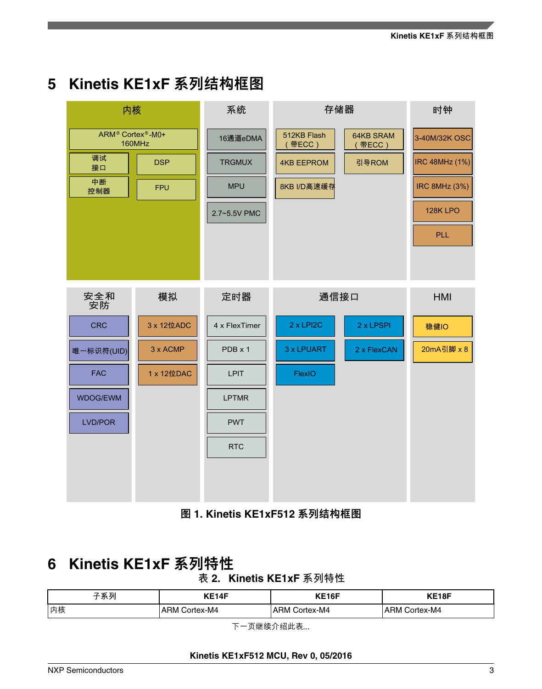# <span id="page-2-0"></span>**5 Kinetis KE1xF** 系列结构框图



图 **1. Kinetis KE1xF512** 系列结构框图

# **6 Kinetis KE1xF** 系列特性

**表 2. Kinetis KE1xF 系列特性**

| フガカ<br>'杀列 | KE14F                | <b>KE16F</b>     | KE18F         |
|------------|----------------------|------------------|---------------|
| 内核         | <b>ARM Cortex-M4</b> | Cortex-M4<br>ARM | ARM Cortex-M4 |

下一页继续介绍此表*...*

#### **Kinetis KE1xF512 MCU, Rev 0, 05/2016**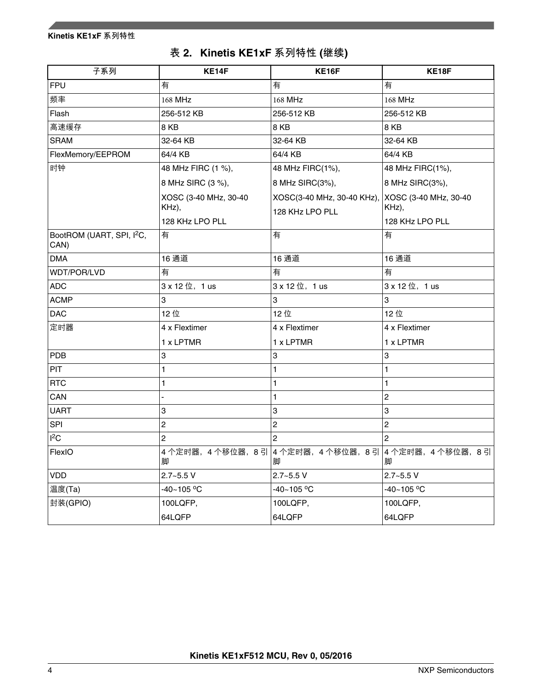| 子系列                                           | KE14F                          | KE16F                                                               | KE18F            |
|-----------------------------------------------|--------------------------------|---------------------------------------------------------------------|------------------|
| FPU                                           | 有                              | 有                                                                   | 有                |
| 频率                                            | 168 MHz                        | 168 MHz                                                             | 168 MHz          |
| Flash                                         | 256-512 KB                     | 256-512 KB                                                          | 256-512 KB       |
| 高速缓存                                          | 8 KB                           | 8 KB                                                                | 8 KB             |
| SRAM                                          | 32-64 KB                       | 32-64 KB                                                            | 32-64 KB         |
| FlexMemory/EEPROM                             | 64/4 KB                        | 64/4 KB                                                             | 64/4 KB          |
| 时钟                                            | 48 MHz FIRC (1 %),             | 48 MHz FIRC(1%),                                                    | 48 MHz FIRC(1%), |
|                                               | 8 MHz SIRC (3 %),              | 8 MHz SIRC(3%),                                                     | 8 MHz SIRC(3%),  |
|                                               | XOSC (3-40 MHz, 30-40<br>KHz), | XOSC(3-40 MHz, 30-40 KHz), XOSC (3-40 MHz, 30-40<br>128 KHz LPO PLL | KHz),            |
|                                               | 128 KHz LPO PLL                |                                                                     | 128 KHz LPO PLL  |
| BootROM (UART, SPI, I <sup>2</sup> C,<br>CAN) | 有                              | 有                                                                   | 有                |
| <b>DMA</b>                                    | 16 通道                          | 16 通道                                                               | 16 通道            |
| WDT/POR/LVD                                   | 有                              | 有                                                                   | 有                |
| <b>ADC</b>                                    | 3 x 12 位, 1 us                 | 3 x 12 位, 1 us                                                      | 3 x 12 位, 1 us   |
| <b>ACMP</b>                                   | 3                              | 3                                                                   | 3                |
| DAC                                           | 12位                            | 12位                                                                 | 12位              |
| 定时器                                           | 4 x Flextimer                  | 4 x Flextimer                                                       | 4 x Flextimer    |
|                                               | 1 x LPTMR                      | 1 x LPTMR                                                           | 1 x LPTMR        |
| PDB                                           | 3                              | 3                                                                   | 3                |
| P T                                           | $\mathbf{1}$                   | $\mathbf{1}$                                                        | $\mathbf{1}$     |
| $ $ RTC                                       | 1                              | 1                                                                   | $\mathbf{1}$     |
| CAN                                           |                                | 1                                                                   | $\overline{c}$   |
| UART                                          | 3                              | 3                                                                   | 3                |
| <b>SPI</b>                                    | $\overline{c}$                 | $\overline{c}$                                                      | $\overline{c}$   |
| $ {}^{2}C$                                    | $\overline{c}$                 | $\overline{2}$                                                      | $\overline{c}$   |
| FlexIO                                        | 脚                              | 脚                                                                   | 脚                |
| <b>VDD</b>                                    | $2.7 - 5.5$ V                  | $2.7 - 5.5$ V                                                       | $2.7 - 5.5$ V    |
| 温度(Ta)                                        | $-40 - 105$ °C                 | $-40 - 105$ °C                                                      | $-40 - 105$ °C   |
| 封装(GPIO)                                      | 100LQFP,                       | 100LQFP,                                                            | 100LQFP,         |
|                                               | 64LQFP                         | 64LQFP                                                              | 64LQFP           |

#### **表 2. Kinetis KE1xF 系列特性 (继续)**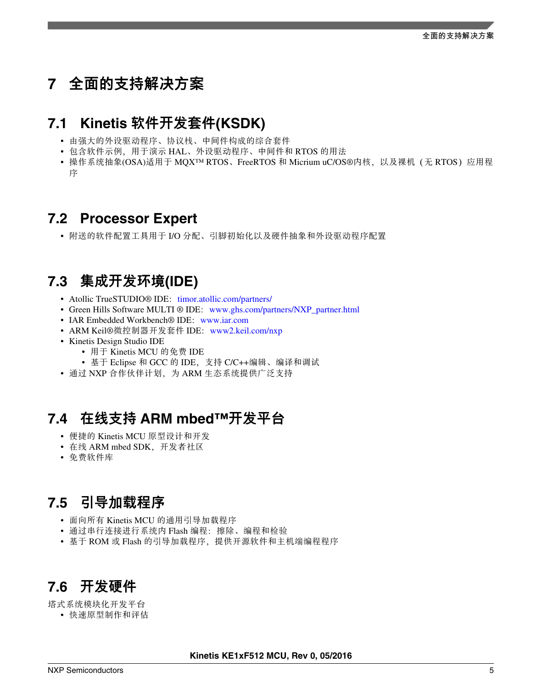# <span id="page-4-0"></span>全面的支持解决方案 **7**

### **7.1 Kinetis** 软件开发套件**(KSDK)**

- 由强大的外设驱动程序、协议栈、中间件构成的综合套件
- 包含软件示例,用于演示 HAL、外设驱动程序、中间件和 RTOS 的用法
- 操作系统抽象(OSA)适用于 MQX™ RTOS、FreeRTOS 和 Micrium uC/OS®内核, 以及裸机 (无 RTOS) 应用程 序

#### **7.2 Processor Expert**

• 附送的软件配置工具用于 I/O 分配、引脚初始化以及硬件抽象和外设驱动程序配置

### **7.3** 集成开发环境**(IDE)**

- Atollic TrueSTUDIO® IDE: [timor.atollic.com/partners/](http://timor.atollic.com/partners/)
- Green Hills Software MULTI ® IDE: [www.ghs.com/partners/NXP\\_partner.html](http://www.ghs.com/partners/NXP_partner.html)
- IAR Embedded Workbench® IDE: [www.iar.com](http://www.iar.com)
- ARM Keil®微控制器开发套件 IDE:[www2.keil.com/nxp](http://www2.keil.com/nxp)
- Kinetis Design Studio IDE
	- 用于 Kinetis MCU 的免费 IDE
	- 基于 Eclipse 和 GCC 的 IDE,支持 C/C++编辑、编译和调试
- 通过 NXP 合作伙伴计划, 为 ARM 生态系统提供广泛支持

### **7.4** 在线支持 **ARM mbed™**开发平台

- 便捷的 Kinetis MCU 原型设计和开发
- 在线 ARM mbed SDK,开发者社区
- 免费软件库

### **7.5** 引导加载程序

- 面向所有 Kinetis MCU 的通用引导加载程序
- 通过串行连接进行系统内 Flash 编程:擦除、编程和检验
- 基于 ROM 或 Flash 的引导加载程序,提供开源软件和主机端编程程序

### **7.6** 开发硬件

塔式系统模块化开发平台

• 快速原型制作和评估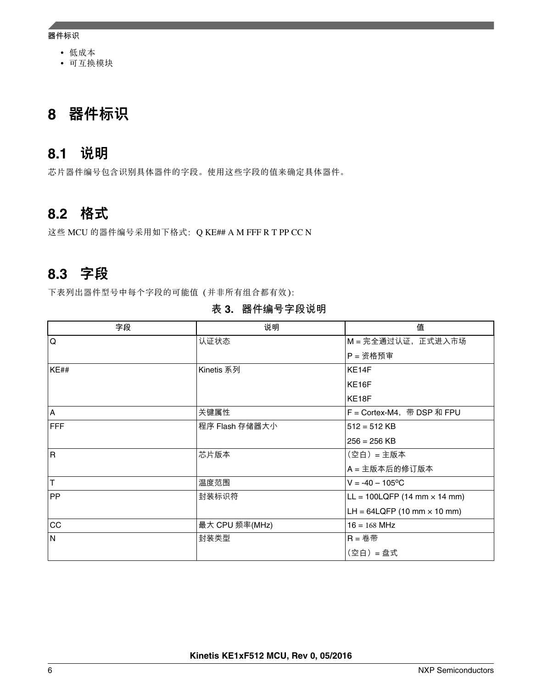#### <span id="page-5-0"></span>**器件标识**

- 低成本
- 可互换模块

## 器件标识 **8**

#### **8.1** 说明

芯片器件编号包含识别具体器件的字段。使用这些字段的值来确定具体器件。

#### **8.2** 格式

这些 MCU 的器件编号采用如下格式: Q KE## A M FFF R T PP CC N

#### **8.3** 字段

下表列出器件型号中每个字段的可能值(并非所有组合都有效):

| 字段           | 说明             | 值                                  |
|--------------|----------------|------------------------------------|
| Q            | 认证状态           | M = 完全通过认证, 正式进入市场                 |
|              |                | P = 资格预审                           |
| KE##         | Kinetis 系列     | KE14F                              |
|              |                | KE16F                              |
|              |                | KE18F                              |
| A            | 关键属性           | F = Cortex-M4, 带 DSP 和 FPU         |
| <b>FFF</b>   | 程序 Flash 存储器大小 | $512 = 512$ KB                     |
|              |                | $256 = 256$ KB                     |
| $\mathsf{R}$ | 芯片版本           | (空白) = 主版本                         |
|              |                | A = 主版本后的修订版本                      |
| $\mathsf{T}$ | 温度范围           | $V = -40 - 105$ °C                 |
| <b>PP</b>    | 封装标识符          | $LL = 100LQFP (14 mm × 14 mm)$     |
|              |                | LH = $64LQFP (10 mm \times 10 mm)$ |
| CC           | 最大 CPU 频率(MHz) | $16 = 168$ MHz                     |
| N            | 封装类型           | $R = $ 卷带                          |
|              |                | (空白)=盘式                            |

#### **表 3. 器件编号字段说明**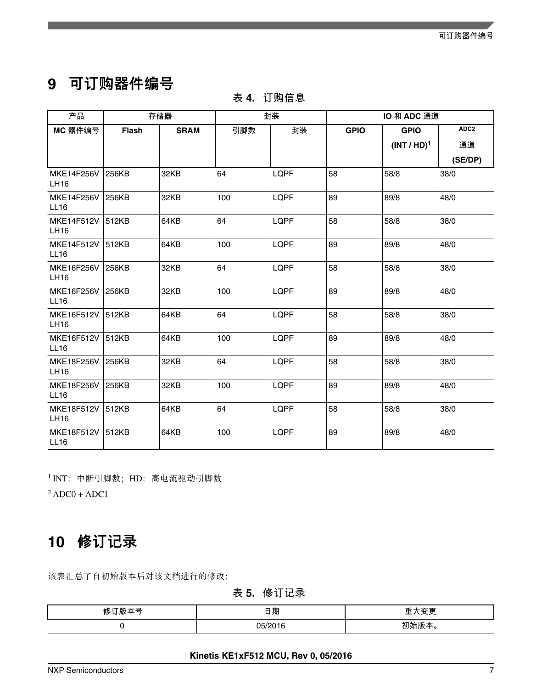# <span id="page-6-0"></span>**9** 可订购器件编号

**表 4. 订购信息**

| 产品                               |       | 存储器         |     | 封装          |             | IO 和 ADC 通道    |                  |
|----------------------------------|-------|-------------|-----|-------------|-------------|----------------|------------------|
| MC 器件编号                          | Flash | <b>SRAM</b> | 引脚数 | 封装          | <b>GPIO</b> | <b>GPIO</b>    | ADC <sub>2</sub> |
|                                  |       |             |     |             |             | $(INT / HD)^1$ | 通道               |
|                                  |       |             |     |             |             |                | (SE/DP)          |
| MKE14F256V<br><b>LH16</b>        | 256KB | 32KB        | 64  | LQPF        | 58          | 58/8           | 38/0             |
| MKE14F256V 256KB<br><b>LL16</b>  |       | 32KB        | 100 | LQPF        | 89          | 89/8           | 48/0             |
| MKE14F512V 512KB<br><b>LH16</b>  |       | 64KB        | 64  | <b>LOPF</b> | 58          | 58/8           | 38/0             |
| MKE14F512V 512KB<br><b>LL16</b>  |       | 64KB        | 100 | <b>LQPF</b> | 89          | 89/8           | 48/0             |
| MKE16F256V 256KB<br><b>LH16</b>  |       | 32KB        | 64  | <b>LQPF</b> | 58          | 58/8           | 38/0             |
| MKE16F256V 256KB<br><b>LL16</b>  |       | 32KB        | 100 | LQPF        | 89          | 89/8           | 48/0             |
| MKE16F512V 512KB<br><b>LH16</b>  |       | 64KB        | 64  | <b>LQPF</b> | 58          | 58/8           | 38/0             |
| <b>MKE16F512V</b><br><b>LL16</b> | 512KB | 64KB        | 100 | <b>LQPF</b> | 89          | 89/8           | 48/0             |
| MKE18F256V 256KB<br><b>LH16</b>  |       | 32KB        | 64  | <b>LOPF</b> | 58          | 58/8           | 38/0             |
| MKE18F256V<br><b>LL16</b>        | 256KB | 32KB        | 100 | LQPF        | 89          | 89/8           | 48/0             |
| MKE18F512V 512KB<br><b>LH16</b>  |       | 64KB        | 64  | LQPF        | 58          | 58/8           | 38/0             |
| MKE18F512V 512KB<br><b>LL16</b>  |       | 64KB        | 100 | LQPF        | 89          | 89/8           | 48/0             |

<sup>1</sup>INT:中断引脚数;HD:高电流驱动引脚数

 $2$  ADC0 + ADC1

# **10** 修订记录

该表汇总了自初始版本后对该文档进行的修改:

**表 5. 修订记录**

| 修订版<br>---<br>版本亏 | 日期      | 由 |
|-------------------|---------|---|
|                   | 05/2016 |   |

#### **Kinetis KE1xF512 MCU, Rev 0, 05/2016**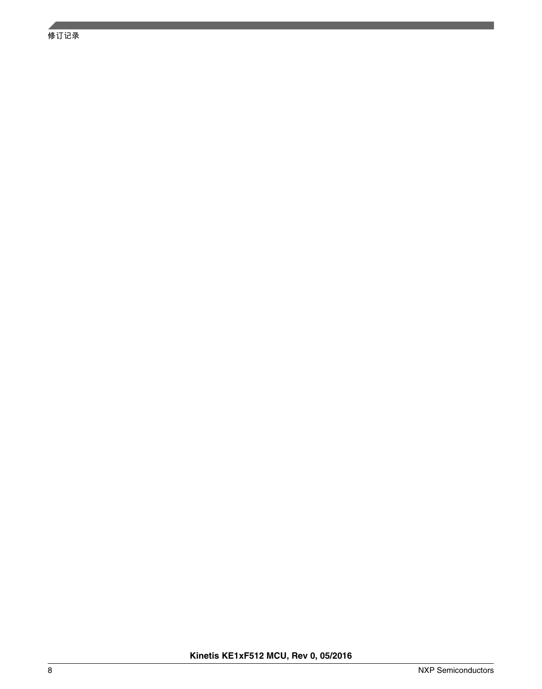